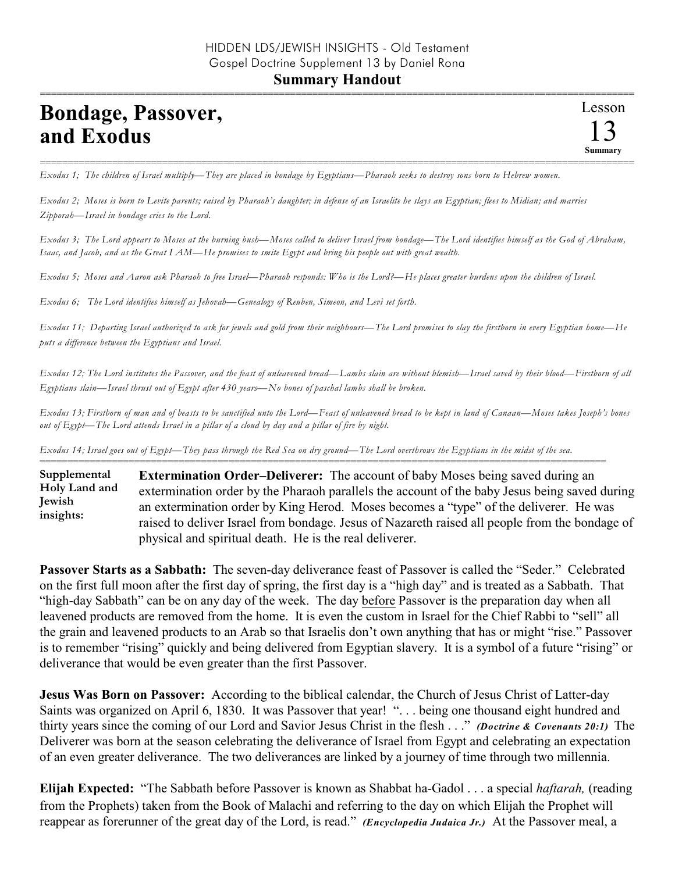## **Bondage, Passover, and Exodus**

=========================================================================================================== *Exodus 1; The children of Israel multiply—They are placed in bondage by Egyptians—Pharaoh seeks to destroy sons born to Hebrew women.*

*Exodus 2; Moses is born to Levite parents; raised by Pharaoh's daughter; in defense of an Israelite he slays an Egyptian; flees to Midian; and marries Zipporah—Israel in bondage cries to the Lord.*

*Exodus 3; The Lord appears to Moses at the burning bush—Moses called to deliver Israel from bondage—The Lord identifies himself as the God of Abraham, Isaac, and Jacob, and as the Great I AM—He promises to smite Egypt and bring his people out with great wealth.*

*Exodus 5; Moses and Aaron ask Pharaoh to free Israel—Pharaoh responds: Who is the Lord?—He places greater burdens upon the children of Israel.*

*Exodus 6; The Lord identifies himself as Jehovah—Genealogy of Reuben, Simeon, and Levi set forth.*

*Exodus 11; Departing Israel authorized to ask for jewels and gold from their neighbours—The Lord promises to slay the firstborn in every Egyptian home—He puts a difference between the Egyptians and Israel.*

*Exodus 12; The Lord institutes the Passover, and the feast of unleavened bread—Lambs slain are without blemish—Israel saved by their blood—Firstborn of all Egyptians slain—Israel thrust out of Egypt after 430 years—No bones of paschal lambs shall be broken.*

*Exodus 13; Firstborn of man and of beasts to be sanctified unto the Lord—Feast of unleavened bread to be kept in land of Canaan—Moses takes Joseph's bones out of Egypt—The Lord attends Israel in a pillar of a cloud by day and a pillar of fire by night.*

*Exodus 14; Israel goes out of Egypt—They pass through the Red Sea on dry ground—The Lord overthrows the Egyptians in the midst of the sea.*

====================================================================================================== **Extermination Order–Deliverer:** The account of baby Moses being saved during an extermination order by the Pharaoh parallels the account of the baby Jesus being saved during an extermination order by King Herod. Moses becomes a "type" of the deliverer. He was raised to deliver Israel from bondage. Jesus of Nazareth raised all people from the bondage of physical and spiritual death. He is the real deliverer. **Supplemental Holy Land and Jewish insights:**

**Passover Starts as a Sabbath:** The seven-day deliverance feast of Passover is called the "Seder." Celebrated on the first full moon after the first day of spring, the first day is a "high day" and is treated as a Sabbath. That "high-day Sabbath" can be on any day of the week. The day before Passover is the preparation day when all leavened products are removed from the home. It is even the custom in Israel for the Chief Rabbi to "sell" all the grain and leavened products to an Arab so that Israelis don't own anything that has or might "rise." Passover is to remember "rising" quickly and being delivered from Egyptian slavery. It is a symbol of a future "rising" or deliverance that would be even greater than the first Passover.

**Jesus Was Born on Passover:** According to the biblical calendar, the Church of Jesus Christ of Latter-day Saints was organized on April 6, 1830. It was Passover that year! "... being one thousand eight hundred and thirty years since the coming of our Lord and Savior Jesus Christ in the flesh . . ." *(Doctrine & Covenants 20:1)* The Deliverer was born at the season celebrating the deliverance of Israel from Egypt and celebrating an expectation of an even greater deliverance. The two deliverances are linked by a journey of time through two millennia.

**Elijah Expected:** "The Sabbath before Passover is known as Shabbat ha-Gadol . . . a special *haftarah,* (reading from the Prophets) taken from the Book of Malachi and referring to the day on which Elijah the Prophet will reappear as forerunner of the great day of the Lord, is read." *(Encyclopedia Judaica Jr.)* At the Passover meal, a